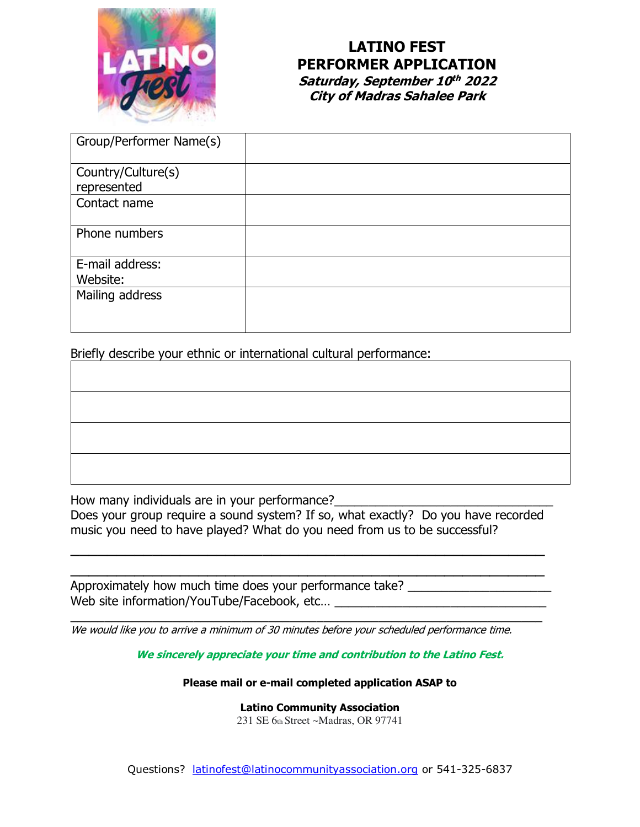

## **LATINO FEST PERFORMER APPLICATION Saturday, September 10 th 2022 City of Madras Sahalee Park**

| Group/Performer Name(s)           |  |
|-----------------------------------|--|
| Country/Culture(s)<br>represented |  |
| Contact name                      |  |
| Phone numbers                     |  |
| E-mail address:<br>Website:       |  |
| Mailing address                   |  |

Briefly describe your ethnic or international cultural performance:

How many individuals are in your performance?

Does your group require a sound system? If so, what exactly? Do you have recorded music you need to have played? What do you need from us to be successful?

\_\_\_\_\_\_\_\_\_\_\_\_\_\_\_\_\_\_\_\_\_\_\_\_\_\_\_\_\_\_\_\_\_\_\_\_\_\_\_\_\_\_\_\_\_\_\_\_\_\_\_\_ \_\_\_\_\_\_\_\_\_\_\_\_\_\_\_\_\_\_\_\_\_\_\_\_\_\_\_\_\_\_\_\_\_\_\_\_\_\_\_\_\_\_\_\_\_\_\_\_\_\_\_\_

Approximately how much time does your performance take? Web site information/YouTube/Facebook, etc… \_\_\_\_\_\_\_\_\_\_\_\_\_\_\_\_\_\_\_\_\_\_\_\_\_\_\_\_\_\_\_

\_\_\_\_\_\_\_\_\_\_\_\_\_\_\_\_\_\_\_\_\_\_\_\_\_\_\_\_\_\_\_\_\_\_\_\_\_\_\_\_\_\_\_\_\_\_\_\_\_\_\_\_\_\_\_\_\_\_\_\_\_\_\_\_\_\_\_\_\_ We would like you to arrive a minimum of 30 minutes before your scheduled performance time.

**We sincerely appreciate your time and contribution to the Latino Fest.**

**Please mail or e-mail completed application ASAP to**

**Latino Community Association** 231 SE 6th Street ~Madras, OR 97741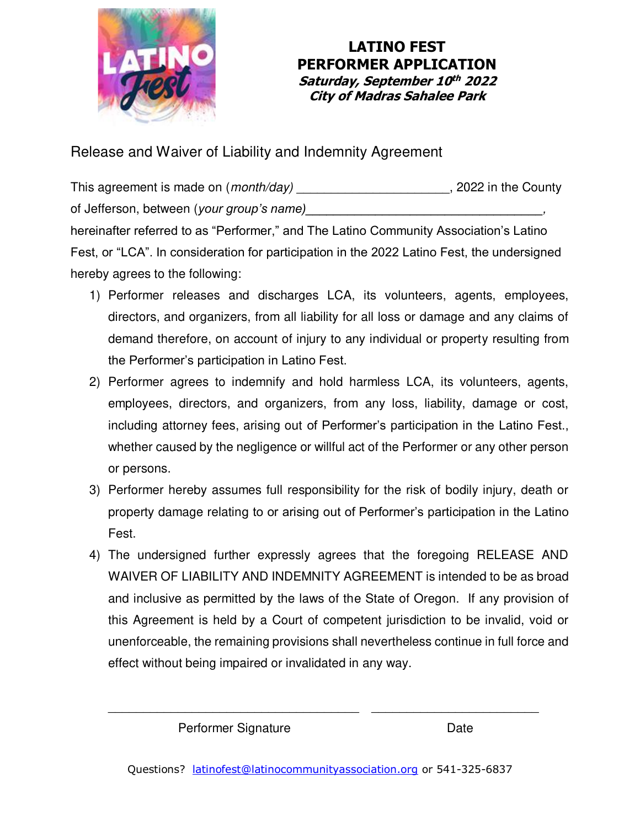

## **LATINO FEST PERFORMER APPLICATION Saturday, September 10 th 2022 City of Madras Sahalee Park**

Release and Waiver of Liability and Indemnity Agreement

This agreement is made on (*month/day*) and the County and the County of Jefferson, between (*your group's name*) hereinafter referred to as "Performer," and The Latino Community Association's Latino Fest, or "LCA". In consideration for participation in the 2022 Latino Fest, the undersigned hereby agrees to the following:

- 1) Performer releases and discharges LCA, its volunteers, agents, employees, directors, and organizers, from all liability for all loss or damage and any claims of demand therefore, on account of injury to any individual or property resulting from the Performer's participation in Latino Fest.
- 2) Performer agrees to indemnify and hold harmless LCA, its volunteers, agents, employees, directors, and organizers, from any loss, liability, damage or cost, including attorney fees, arising out of Performer's participation in the Latino Fest., whether caused by the negligence or willful act of the Performer or any other person or persons.
- 3) Performer hereby assumes full responsibility for the risk of bodily injury, death or property damage relating to or arising out of Performer's participation in the Latino Fest.
- 4) The undersigned further expressly agrees that the foregoing RELEASE AND WAIVER OF LIABILITY AND INDEMNITY AGREEMENT is intended to be as broad and inclusive as permitted by the laws of the State of Oregon. If any provision of this Agreement is held by a Court of competent jurisdiction to be invalid, void or unenforceable, the remaining provisions shall nevertheless continue in full force and effect without being impaired or invalidated in any way.

Performer Signature Date

\_\_\_\_\_\_\_\_\_\_\_\_\_\_\_\_\_\_\_\_\_\_\_\_\_\_\_\_\_\_\_\_\_\_\_\_ \_\_\_\_\_\_\_\_\_\_\_\_\_\_\_\_\_\_\_\_\_\_\_\_